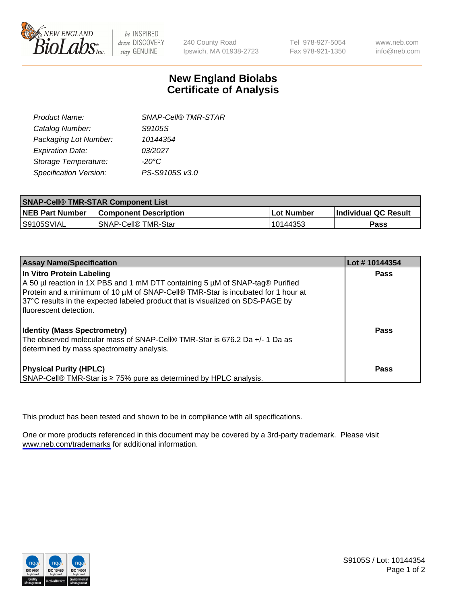

be INSPIRED drive DISCOVERY stay GENUINE

240 County Road Ipswich, MA 01938-2723 Tel 978-927-5054 Fax 978-921-1350

www.neb.com info@neb.com

## **New England Biolabs Certificate of Analysis**

| <b>SNAP-Cell® TMR-STAR</b> |
|----------------------------|
| S9105S                     |
| 10144354                   |
| 03/2027                    |
| $-20^{\circ}$ C            |
| PS-S9105S v3.0             |
|                            |

| <b>SNAP-Cell® TMR-STAR Component List</b> |                                       |             |                             |  |
|-------------------------------------------|---------------------------------------|-------------|-----------------------------|--|
| <b>NEB Part Number</b>                    | <b>Component Description</b>          | ⊥Lot Number | <b>Individual QC Result</b> |  |
| S9105SVIAL                                | <b>SNAP-Cell<sup>®</sup> TMR-Star</b> | 10144353    | Pass                        |  |

| <b>Assay Name/Specification</b>                                                                                                                                                                                                                                                                              | Lot #10144354 |
|--------------------------------------------------------------------------------------------------------------------------------------------------------------------------------------------------------------------------------------------------------------------------------------------------------------|---------------|
| In Vitro Protein Labeling<br>A 50 µl reaction in 1X PBS and 1 mM DTT containing 5 µM of SNAP-tag® Purified<br>Protein and a minimum of 10 µM of SNAP-Cell® TMR-Star is incubated for 1 hour at<br>37°C results in the expected labeled product that is visualized on SDS-PAGE by<br>I fluorescent detection. | <b>Pass</b>   |
| <b>Identity (Mass Spectrometry)</b><br>The observed molecular mass of SNAP-Cell® TMR-Star is 676.2 Da +/- 1 Da as<br>determined by mass spectrometry analysis.                                                                                                                                               | Pass          |
| <b>Physical Purity (HPLC)</b><br>SNAP-Cell® TMR-Star is ≥ 75% pure as determined by HPLC analysis.                                                                                                                                                                                                           | Pass          |

This product has been tested and shown to be in compliance with all specifications.

One or more products referenced in this document may be covered by a 3rd-party trademark. Please visit <www.neb.com/trademarks>for additional information.